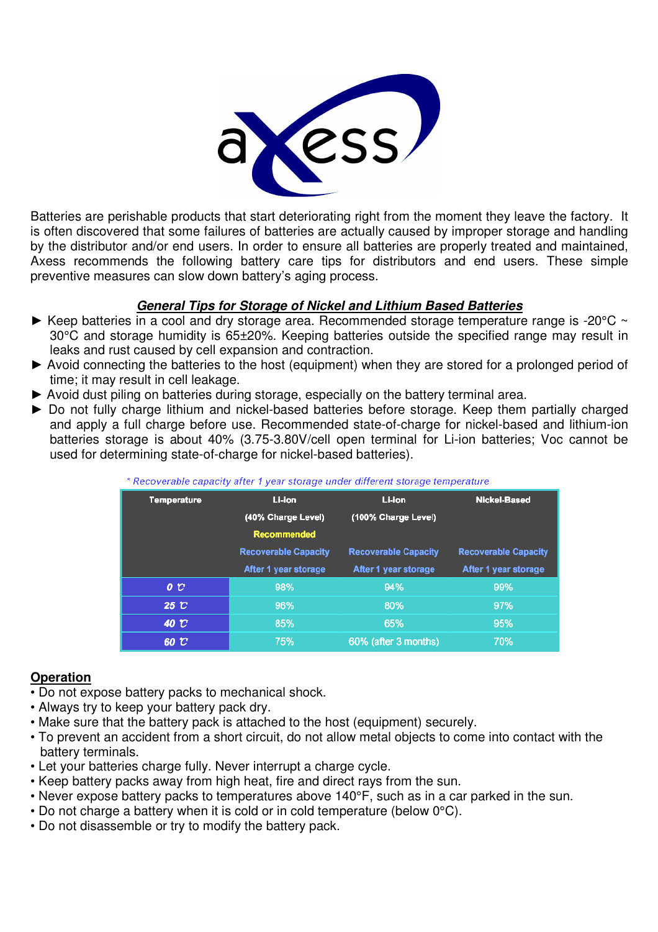

Batteries are perishable products that start deteriorating right from the moment they leave the factory. It is often discovered that some failures of batteries are actually caused by improper storage and handling by the distributor and/or end users. In order to ensure all batteries are properly treated and maintained, Axess recommends the following battery care tips for distributors and end users. These simple preventive measures can slow down battery's aging process.

# **General Tips for Storage of Nickel and Lithium Based Batteries**

- $\blacktriangleright$  Keep batteries in a cool and dry storage area. Recommended storage temperature range is -20°C  $\sim$ 30°C and storage humidity is 65±20%. Keeping batteries outside the specified range may result in leaks and rust caused by cell expansion and contraction.
- ► Avoid connecting the batteries to the host (equipment) when they are stored for a prolonged period of time; it may result in cell leakage.
- ► Avoid dust piling on batteries during storage, especially on the battery terminal area.
- ► Do not fully charge lithium and nickel-based batteries before storage. Keep them partially charged and apply a full charge before use. Recommended state-of-charge for nickel-based and lithium-ion batteries storage is about 40% (3.75-3.80V/cell open terminal for Li-ion batteries; Voc cannot be used for determining state-of-charge for nickel-based batteries).

| nccorciame capacity aner i year storage americant storage temperature |                             |                             |                             |  |  |  |  |
|-----------------------------------------------------------------------|-----------------------------|-----------------------------|-----------------------------|--|--|--|--|
| Temperature                                                           | Li-ion                      | Li-ion                      | Nickel-Based                |  |  |  |  |
| (40% Charge Level)                                                    |                             | (100% Charge Level)         |                             |  |  |  |  |
|                                                                       | <b>Recommended</b>          |                             |                             |  |  |  |  |
|                                                                       | <b>Recoverable Capacity</b> | <b>Recoverable Capacity</b> | <b>Recoverable Capacity</b> |  |  |  |  |
|                                                                       | After 1 year storage        | After 1 year storage        | After 1 year storage        |  |  |  |  |
| $\bm{o} \ \bm{v}$                                                     | 98%                         | 94%                         | 99%                         |  |  |  |  |
| 25 C                                                                  | 96%                         | 80%                         | 97%                         |  |  |  |  |
| 40 C                                                                  | 85%                         | 65%                         | 95%                         |  |  |  |  |
| 60 U                                                                  | 75%                         | 60% (after 3 months)        | 70%                         |  |  |  |  |

| Recoverable capacity after 1 year storage under different storage temperature |  |  |
|-------------------------------------------------------------------------------|--|--|
|                                                                               |  |  |

# **Operation**

- Do not expose battery packs to mechanical shock.
- Always try to keep your battery pack dry.
- Make sure that the battery pack is attached to the host (equipment) securely.
- To prevent an accident from a short circuit, do not allow metal objects to come into contact with the battery terminals.
- Let your batteries charge fully. Never interrupt a charge cycle.
- Keep battery packs away from high heat, fire and direct rays from the sun.
- Never expose battery packs to temperatures above 140°F, such as in a car parked in the sun.
- Do not charge a battery when it is cold or in cold temperature (below 0°C).
- Do not disassemble or try to modify the battery pack.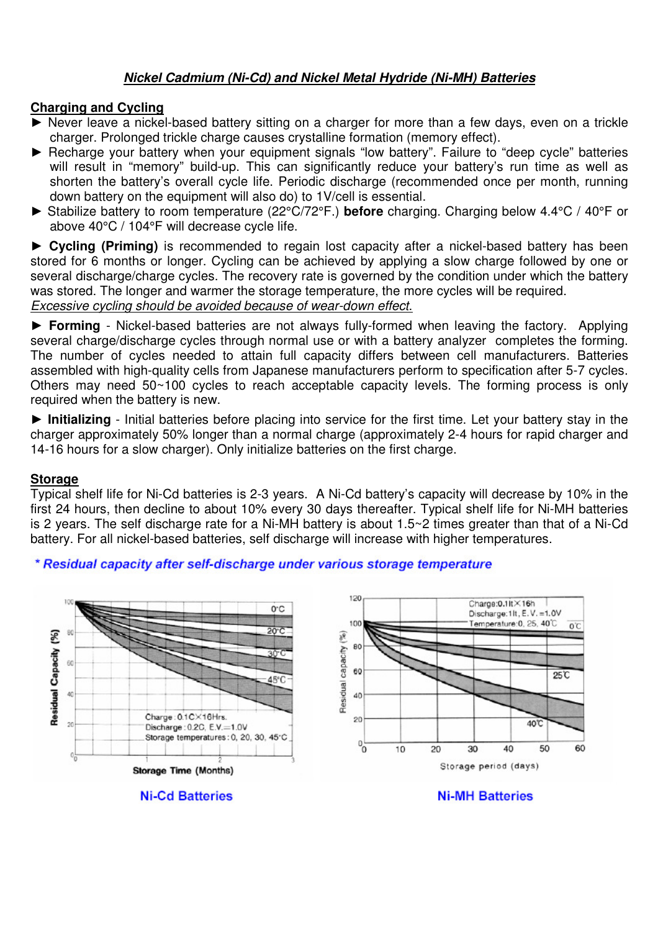# **Nickel Cadmium (Ni-Cd) and Nickel Metal Hydride (Ni-MH) Batteries**

#### **Charging and Cycling**

- ▶ Never leave a nickel-based battery sitting on a charger for more than a few days, even on a trickle charger. Prolonged trickle charge causes crystalline formation (memory effect).
- ► Recharge your battery when your equipment signals "low battery". Failure to "deep cycle" batteries will result in "memory" build-up. This can significantly reduce your battery's run time as well as shorten the battery's overall cycle life. Periodic discharge (recommended once per month, running down battery on the equipment will also do) to 1V/cell is essential.
- ► Stabilize battery to room temperature (22°C/72°F.) **before** charging. Charging below 4.4°C / 40°F or above 40°C / 104°F will decrease cycle life.

► **Cycling (Priming)** is recommended to regain lost capacity after a nickel-based battery has been stored for 6 months or longer. Cycling can be achieved by applying a slow charge followed by one or several discharge/charge cycles. The recovery rate is governed by the condition under which the battery was stored. The longer and warmer the storage temperature, the more cycles will be required.

Excessive cycling should be avoided because of wear-down effect.

► **Forming** - Nickel-based batteries are not always fully-formed when leaving the factory. Applying several charge/discharge cycles through normal use or with a battery analyzer completes the forming. The number of cycles needed to attain full capacity differs between cell manufacturers. Batteries assembled with high-quality cells from Japanese manufacturers perform to specification after 5-7 cycles. Others may need 50~100 cycles to reach acceptable capacity levels. The forming process is only required when the battery is new.

► **Initializing** - Initial batteries before placing into service for the first time. Let your battery stay in the charger approximately 50% longer than a normal charge (approximately 2-4 hours for rapid charger and 14-16 hours for a slow charger). Only initialize batteries on the first charge.

#### **Storage**

Typical shelf life for Ni-Cd batteries is 2-3 years. A Ni-Cd battery's capacity will decrease by 10% in the first 24 hours, then decline to about 10% every 30 days thereafter. Typical shelf life for Ni-MH batteries is 2 years. The self discharge rate for a Ni-MH battery is about 1.5~2 times greater than that of a Ni-Cd battery. For all nickel-based batteries, self discharge will increase with higher temperatures.

### \* Residual capacity after self-discharge under various storage temperature



**Ni-Cd Batteries** 

**Ni-MH Batteries**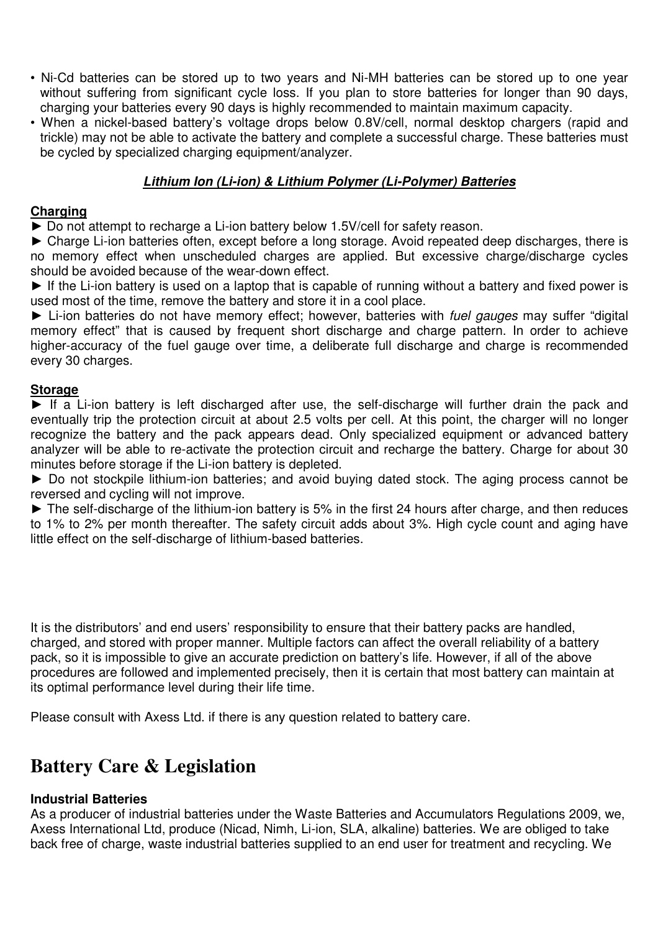- Ni-Cd batteries can be stored up to two years and Ni-MH batteries can be stored up to one year without suffering from significant cycle loss. If you plan to store batteries for longer than 90 days, charging your batteries every 90 days is highly recommended to maintain maximum capacity.
- When a nickel-based battery's voltage drops below 0.8V/cell, normal desktop chargers (rapid and trickle) may not be able to activate the battery and complete a successful charge. These batteries must be cycled by specialized charging equipment/analyzer.

# **Lithium Ion (Li-ion) & Lithium Polymer (Li-Polymer) Batteries**

## **Charging**

► Do not attempt to recharge a Li-ion battery below 1.5V/cell for safety reason.

► Charge Li-ion batteries often, except before a long storage. Avoid repeated deep discharges, there is no memory effect when unscheduled charges are applied. But excessive charge/discharge cycles should be avoided because of the wear-down effect.

► If the Li-ion battery is used on a laptop that is capable of running without a battery and fixed power is used most of the time, remove the battery and store it in a cool place.

► Li-ion batteries do not have memory effect; however, batteries with fuel gauges may suffer "digital" memory effect" that is caused by frequent short discharge and charge pattern. In order to achieve higher-accuracy of the fuel gauge over time, a deliberate full discharge and charge is recommended every 30 charges.

#### **Storage**

► If a Li-ion battery is left discharged after use, the self-discharge will further drain the pack and eventually trip the protection circuit at about 2.5 volts per cell. At this point, the charger will no longer recognize the battery and the pack appears dead. Only specialized equipment or advanced battery analyzer will be able to re-activate the protection circuit and recharge the battery. Charge for about 30 minutes before storage if the Li-ion battery is depleted.

► Do not stockpile lithium-ion batteries; and avoid buying dated stock. The aging process cannot be reversed and cycling will not improve.

► The self-discharge of the lithium-ion battery is 5% in the first 24 hours after charge, and then reduces to 1% to 2% per month thereafter. The safety circuit adds about 3%. High cycle count and aging have little effect on the self-discharge of lithium-based batteries.

It is the distributors' and end users' responsibility to ensure that their battery packs are handled, charged, and stored with proper manner. Multiple factors can affect the overall reliability of a battery pack, so it is impossible to give an accurate prediction on battery's life. However, if all of the above procedures are followed and implemented precisely, then it is certain that most battery can maintain at its optimal performance level during their life time.

Please consult with Axess Ltd. if there is any question related to battery care.

# **Battery Care & Legislation**

### **Industrial Batteries**

As a producer of industrial batteries under the Waste Batteries and Accumulators Regulations 2009, we, Axess International Ltd, produce (Nicad, Nimh, Li-ion, SLA, alkaline) batteries. We are obliged to take back free of charge, waste industrial batteries supplied to an end user for treatment and recycling. We